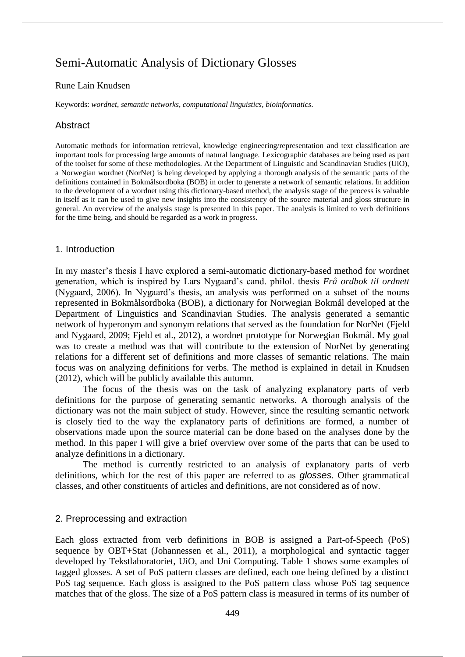# Semi-Automatic Analysis of Dictionary Glosses

#### Rune Lain Knudsen

Keywords: *wordnet*, *semantic networks*, *computational linguistics*, *bioinformatics*.

# Abstract

Automatic methods for information retrieval, knowledge engineering/representation and text classification are important tools for processing large amounts of natural language. Lexicographic databases are being used as part of the toolset for some of these methodologies. At the Department of Linguistic and Scandinavian Studies (UiO), a Norwegian wordnet (NorNet) is being developed by applying a thorough analysis of the semantic parts of the definitions contained in Bokmålsordboka (BOB) in order to generate a network of semantic relations. In addition to the development of a wordnet using this dictionary-based method, the analysis stage of the process is valuable in itself as it can be used to give new insights into the consistency of the source material and gloss structure in general. An overview of the analysis stage is presented in this paper. The analysis is limited to verb definitions for the time being, and should be regarded as a work in progress.

#### 1. Introduction

In my master's thesis I have explored a semi-automatic dictionary-based method for wordnet generation, which is inspired by Lars Nygaard's cand. philol. thesis *Frå ordbok til ordnett* (Nygaard, 2006). In Nygaard's thesis, an analysis was performed on a subset of the nouns represented in Bokmålsordboka (BOB), a dictionary for Norwegian Bokmål developed at the Department of Linguistics and Scandinavian Studies. The analysis generated a semantic network of hyperonym and synonym relations that served as the foundation for NorNet (Fjeld and Nygaard, 2009; Fjeld et al., 2012), a wordnet prototype for Norwegian Bokmål. My goal was to create a method was that will contribute to the extension of NorNet by generating relations for a different set of definitions and more classes of semantic relations. The main focus was on analyzing definitions for verbs. The method is explained in detail in Knudsen (2012), which will be publicly available this autumn.

The focus of the thesis was on the task of analyzing explanatory parts of verb definitions for the purpose of generating semantic networks. A thorough analysis of the dictionary was not the main subject of study. However, since the resulting semantic network is closely tied to the way the explanatory parts of definitions are formed, a number of observations made upon the source material can be done based on the analyses done by the method. In this paper I will give a brief overview over some of the parts that can be used to analyze definitions in a dictionary.

The method is currently restricted to an analysis of explanatory parts of verb definitions, which for the rest of this paper are referred to as *glosses*. Other grammatical classes, and other constituents of articles and definitions, are not considered as of now.

## 2. Preprocessing and extraction

Each gloss extracted from verb definitions in BOB is assigned a Part-of-Speech (PoS) sequence by OBT+Stat (Johannessen et al., 2011), a morphological and syntactic tagger developed by Tekstlaboratoriet, UiO, and Uni Computing. Table 1 shows some examples of tagged glosses. A set of PoS pattern classes are defined, each one being defined by a distinct PoS tag sequence. Each gloss is assigned to the PoS pattern class whose PoS tag sequence matches that of the gloss. The size of a PoS pattern class is measured in terms of its number of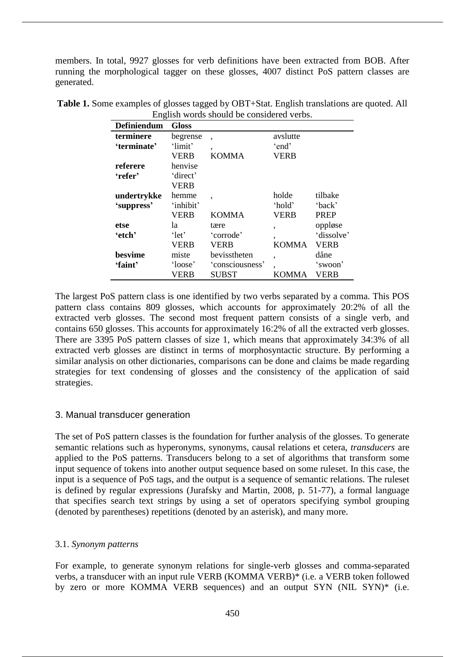members. In total, 9927 glosses for verb definitions have been extracted from BOB. After running the morphological tagger on these glosses, 4007 distinct PoS pattern classes are generated.

| Definiendum | <b>Gloss</b> |                 |              |             |
|-------------|--------------|-----------------|--------------|-------------|
| terminere   | begrense     | ٠               | avslutte     |             |
| 'terminate' | 'limit'      | ٠               | 'end'        |             |
|             | <b>VERB</b>  | <b>KOMMA</b>    | <b>VERB</b>  |             |
| referere    | henvise      |                 |              |             |
| 'refer'     | 'direct'     |                 |              |             |
|             | <b>VERB</b>  |                 |              |             |
| undertrykke | hemme        | ٠               | holde        | tilbake     |
| 'suppress'  | 'inhibit'    |                 | 'hold'       | 'back'      |
|             | <b>VERB</b>  | <b>KOMMA</b>    | <b>VERB</b>  | <b>PREP</b> |
| etse        | la           | tære            | ,            | oppløse     |
| 'etch'      | 'let'        | 'corrode'       | ,            | 'dissolve'  |
|             | VERB         | <b>VERB</b>     | <b>KOMMA</b> | <b>VERB</b> |
| besvime     | miste        | bevisstheten    | ,            | dåne        |
| 'faint'     | 'loose'      | 'consciousness' | ٠            | 'swoon'     |
|             | <b>VERB</b>  | <b>SUBST</b>    | KOMMA        | VERB        |

**Table 1.** Some examples of glosses tagged by OBT+Stat. English translations are quoted. All English words should be considered verbs.

The largest PoS pattern class is one identified by two verbs separated by a comma. This POS pattern class contains 809 glosses, which accounts for approximately 20:2% of all the extracted verb glosses. The second most frequent pattern consists of a single verb, and contains 650 glosses. This accounts for approximately 16:2% of all the extracted verb glosses. There are 3395 PoS pattern classes of size 1, which means that approximately 34:3% of all extracted verb glosses are distinct in terms of morphosyntactic structure. By performing a similar analysis on other dictionaries, comparisons can be done and claims be made regarding strategies for text condensing of glosses and the consistency of the application of said strategies.

# 3. Manual transducer generation

The set of PoS pattern classes is the foundation for further analysis of the glosses. To generate semantic relations such as hyperonyms, synonyms, causal relations et cetera, *transducers* are applied to the PoS patterns. Transducers belong to a set of algorithms that transform some input sequence of tokens into another output sequence based on some ruleset. In this case, the input is a sequence of PoS tags, and the output is a sequence of semantic relations. The ruleset is defined by regular expressions (Jurafsky and Martin, 2008, p. 51-77), a formal language that specifies search text strings by using a set of operators specifying symbol grouping (denoted by parentheses) repetitions (denoted by an asterisk), and many more.

## 3.1. *Synonym patterns*

For example, to generate synonym relations for single-verb glosses and comma-separated verbs, a transducer with an input rule VERB (KOMMA VERB)\* (i.e. a VERB token followed by zero or more KOMMA VERB sequences) and an output SYN (NIL SYN)\* (i.e.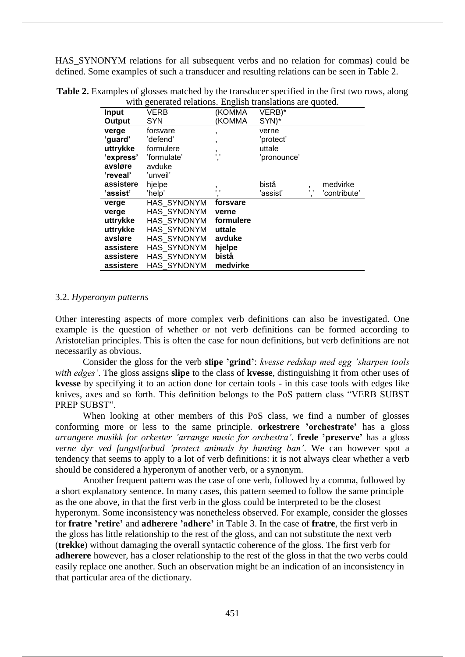HAS\_SYNONYM relations for all subsequent verbs and no relation for commas) could be defined. Some examples of such a transducer and resulting relations can be seen in Table 2.

| whit generated relations. English translations are quoted. |             |                |             |           |              |
|------------------------------------------------------------|-------------|----------------|-------------|-----------|--------------|
| <b>Input</b>                                               | VERB        | (KOMMA         | VERB)*      |           |              |
| Output                                                     | <b>SYN</b>  | (KOMMA         | SYN)*       |           |              |
| verge                                                      | forsvare    | $\overline{ }$ | verne       |           |              |
| 'guard'                                                    | 'defend'    | ,              | 'protect'   |           |              |
| uttrykke                                                   | formulere   | $\mathbf{r}$   | uttale      |           |              |
| 'express'                                                  | 'formulate' | , ,<br>٠       | 'pronounce' |           |              |
| avsløre                                                    | avduke      |                |             |           |              |
| 'reveal'                                                   | 'unveil'    |                |             |           |              |
| assistere                                                  | hjelpe      |                | bistå       |           | medvirke     |
| 'assist'                                                   | 'help'      | $, \, ,$       | 'assist'    | $, \cdot$ | 'contribute' |
| verge                                                      | HAS SYNONYM | forsvare       |             |           |              |
| verge                                                      | HAS_SYNONYM | verne          |             |           |              |
| uttrykke                                                   | HAS SYNONYM | formulere      |             |           |              |
| uttrykke                                                   | HAS SYNONYM | uttale         |             |           |              |
| avsløre                                                    | HAS SYNONYM | avduke         |             |           |              |
| assistere                                                  | HAS SYNONYM | hjelpe         |             |           |              |
| assistere                                                  | HAS SYNONYM | bistå          |             |           |              |
| assistere                                                  | HAS SYNONYM | medvirke       |             |           |              |

**Table 2.** Examples of glosses matched by the transducer specified in the first two rows, along with generated relations. English translations are quoted.

#### 3.2. *Hyperonym patterns*

Other interesting aspects of more complex verb definitions can also be investigated. One example is the question of whether or not verb definitions can be formed according to Aristotelian principles. This is often the case for noun definitions, but verb definitions are not necessarily as obvious.

Consider the gloss for the verb **slipe 'grind'**: *kvesse redskap med egg 'sharpen tools with edges'*. The gloss assigns **slipe** to the class of **kvesse**, distinguishing it from other uses of **kvesse** by specifying it to an action done for certain tools - in this case tools with edges like knives, axes and so forth. This definition belongs to the PoS pattern class "VERB SUBST PREP SUBST".

When looking at other members of this PoS class, we find a number of glosses conforming more or less to the same principle. **orkestrere 'orchestrate'** has a gloss *arrangere musikk for orkester 'arrange music for orchestra'*. **frede 'preserve'** has a gloss *verne dyr ved fangstforbud 'protect animals by hunting ban'*. We can however spot a tendency that seems to apply to a lot of verb definitions: it is not always clear whether a verb should be considered a hyperonym of another verb, or a synonym.

Another frequent pattern was the case of one verb, followed by a comma, followed by a short explanatory sentence. In many cases, this pattern seemed to follow the same principle as the one above, in that the first verb in the gloss could be interpreted to be the closest hyperonym. Some inconsistency was nonetheless observed. For example, consider the glosses for **fratre 'retire'** and **adherere 'adhere'** in Table 3. In the case of **fratre**, the first verb in the gloss has little relationship to the rest of the gloss, and can not substitute the next verb (**trekke**) without damaging the overall syntactic coherence of the gloss. The first verb for **adherere** however, has a closer relationship to the rest of the gloss in that the two verbs could easily replace one another. Such an observation might be an indication of an inconsistency in that particular area of the dictionary.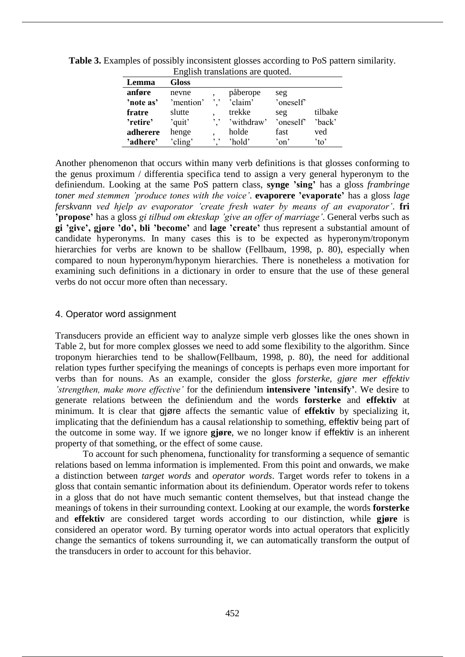| Lemma     | <b>Gloss</b> |     |            |                      |         |
|-----------|--------------|-----|------------|----------------------|---------|
| anføre    | nevne        |     | påberope   | seg                  |         |
| 'note as' | 'mention'    | , , | 'claim'    | 'oneself'            |         |
| fratre    | slutte       |     | trekke     | seg                  | tilbake |
| 'retire'  | 'quit'       | , , | 'withdraw' | 'oneself'            | 'back'  |
| adherere  | henge        |     | holde      | fast                 | ved     |
| 'adhere'  | 'cling'      | , , | 'hold'     | $\gamma$ on $\gamma$ | 'to'    |

**Table 3.** Examples of possibly inconsistent glosses according to PoS pattern similarity. English translations are quoted.

Another phenomenon that occurs within many verb definitions is that glosses conforming to the genus proximum / differentia specifica tend to assign a very general hyperonym to the definiendum. Looking at the same PoS pattern class, **synge 'sing'** has a gloss *frambringe toner med stemmen 'produce tones with the voice'*. **evaporere 'evaporate'** has a gloss *lage ferskvann ved hjelp av evaporator 'create fresh water by means of an evaporator'*. **fri 'propose'** has a gloss *gi tilbud om ekteskap 'give an offer of marriage'*. General verbs such as **gi 'give', gjøre 'do', bli 'become'** and **lage 'create'** thus represent a substantial amount of candidate hyperonyms. In many cases this is to be expected as hyperonym/troponym hierarchies for verbs are known to be shallow (Fellbaum, 1998, p. 80), especially when compared to noun hyperonym/hyponym hierarchies. There is nonetheless a motivation for examining such definitions in a dictionary in order to ensure that the use of these general verbs do not occur more often than necessary.

# 4. Operator word assignment

Transducers provide an efficient way to analyze simple verb glosses like the ones shown in Table 2, but for more complex glosses we need to add some flexibility to the algorithm. Since troponym hierarchies tend to be shallow(Fellbaum, 1998, p. 80), the need for additional relation types further specifying the meanings of concepts is perhaps even more important for verbs than for nouns. As an example, consider the gloss *forsterke, gjøre mer effektiv 'strengthen, make more effective'* for the definiendum **intensivere 'intensify'**. We desire to generate relations between the definiendum and the words **forsterke** and **effektiv** at minimum. It is clear that gjøre affects the semantic value of **effektiv** by specializing it, implicating that the definiendum has a causal relationship to something, effektiv being part of the outcome in some way. If we ignore **gjøre**, we no longer know if effektiv is an inherent property of that something, or the effect of some cause.

To account for such phenomena, functionality for transforming a sequence of semantic relations based on lemma information is implemented. From this point and onwards, we make a distinction between *target words* and *operator words*. Target words refer to tokens in a gloss that contain semantic information about its definiendum. Operator words refer to tokens in a gloss that do not have much semantic content themselves, but that instead change the meanings of tokens in their surrounding context. Looking at our example, the words **forsterke** and **effektiv** are considered target words according to our distinction, while **gjøre** is considered an operator word. By turning operator words into actual operators that explicitly change the semantics of tokens surrounding it, we can automatically transform the output of the transducers in order to account for this behavior.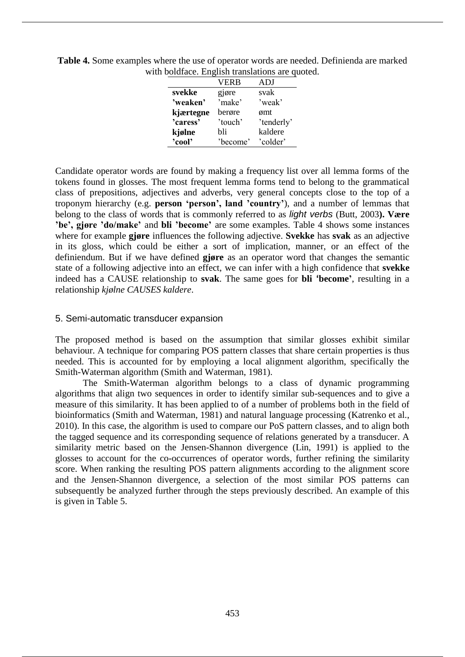| bordiace. Enginal transferons are |          |            |  |  |  |
|-----------------------------------|----------|------------|--|--|--|
|                                   | VERB     | ADJ        |  |  |  |
| svekke                            | gjøre    | svak       |  |  |  |
| 'weaken'                          | 'make'   | 'weak'     |  |  |  |
| kjærtegne                         | berøre   | ømt        |  |  |  |
| 'caress'                          | 'touch'  | 'tenderly' |  |  |  |
| kjølne                            | hli      | kaldere    |  |  |  |
| 'cool'                            | 'become' | 'colder'   |  |  |  |

**Table 4.** Some examples where the use of operator words are needed. Definienda are marked with boldface. English translations are quoted.

Candidate operator words are found by making a frequency list over all lemma forms of the tokens found in glosses. The most frequent lemma forms tend to belong to the grammatical class of prepositions, adjectives and adverbs, very general concepts close to the top of a troponym hierarchy (e.g. **person 'person', land 'country'**), and a number of lemmas that belong to the class of words that is commonly referred to as *light verbs* (Butt, 2003**). Være 'be', gjøre 'do/make'** and **bli 'become'** are some examples. Table 4 shows some instances where for example **gjøre** influences the following adjective. **Svekke** has **svak** as an adjective in its gloss, which could be either a sort of implication, manner, or an effect of the definiendum. But if we have defined **gjøre** as an operator word that changes the semantic state of a following adjective into an effect, we can infer with a high confidence that **svekke** indeed has a CAUSE relationship to **svak**. The same goes for **bli 'become'**, resulting in a relationship *kjølne CAUSES kaldere*.

## 5. Semi-automatic transducer expansion

The proposed method is based on the assumption that similar glosses exhibit similar behaviour. A technique for comparing POS pattern classes that share certain properties is thus needed. This is accounted for by employing a local alignment algorithm, specifically the Smith-Waterman algorithm (Smith and Waterman, 1981).

The Smith-Waterman algorithm belongs to a class of dynamic programming algorithms that align two sequences in order to identify similar sub-sequences and to give a measure of this similarity. It has been applied to of a number of problems both in the field of bioinformatics (Smith and Waterman, 1981) and natural language processing (Katrenko et al., 2010). In this case, the algorithm is used to compare our PoS pattern classes, and to align both the tagged sequence and its corresponding sequence of relations generated by a transducer. A similarity metric based on the Jensen-Shannon divergence (Lin, 1991) is applied to the glosses to account for the co-occurrences of operator words, further refining the similarity score. When ranking the resulting POS pattern alignments according to the alignment score and the Jensen-Shannon divergence, a selection of the most similar POS patterns can subsequently be analyzed further through the steps previously described. An example of this is given in Table 5.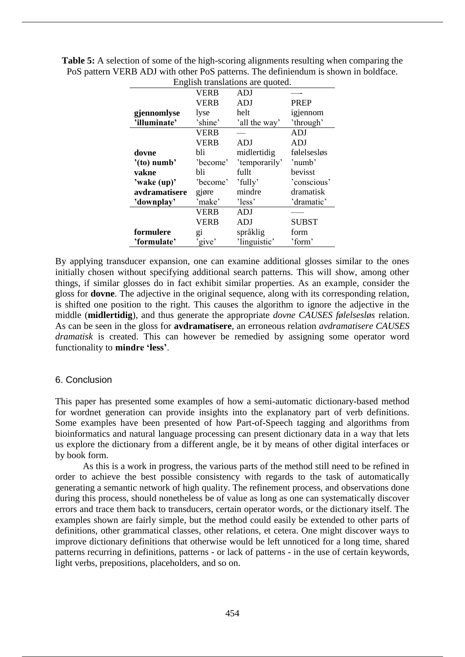| English translations are quoted. |             |               |              |  |
|----------------------------------|-------------|---------------|--------------|--|
|                                  | VERB        | ADJ           |              |  |
|                                  | <b>VERB</b> | <b>ADJ</b>    | <b>PREP</b>  |  |
| gjennomlyse                      | lyse        | helt          | igjennom     |  |
| 'illuminate'                     | 'shine'     | 'all the way' | 'through'    |  |
|                                  | <b>VERB</b> |               | <b>ADJ</b>   |  |
|                                  | <b>VERB</b> | ADJ           | ADJ          |  |
| dovne                            | bli         | midlertidig   | følelsesløs  |  |
| $'(to)$ numb'                    | 'become'    | 'temporarily' | 'numb'       |  |
| vakne                            | bli         | fullt         | bevisst      |  |
| 'wake (up)'                      | 'become'    | 'fully'       | 'conscious'  |  |
| avdramatisere                    | gjøre       | mindre        | dramatisk    |  |
| 'downplay'                       | 'make'      | 'less'        | 'dramatic'   |  |
|                                  | <b>VERB</b> | <b>ADJ</b>    |              |  |
|                                  | VERB        | ADJ           | <b>SUBST</b> |  |
| formulere                        | $g_1$       | språklig      | form         |  |
| 'formulate'                      | 'give'      | 'linguistic'  | 'form'       |  |

**Table 5:** A selection of some of the high-scoring alignments resulting when comparing the PoS pattern VERB ADJ with other PoS patterns. The definiendum is shown in boldface.

By applying transducer expansion, one can examine additional glosses similar to the ones initially chosen without specifying additional search patterns. This will show, among other things, if similar glosses do in fact exhibit similar properties. As an example, consider the gloss for **dovne**. The adjective in the original sequence, along with its corresponding relation, is shifted one position to the right. This causes the algorithm to ignore the adjective in the middle (**midlertidig**), and thus generate the appropriate *dovne CAUSES følelsesløs* relation. As can be seen in the gloss for **avdramatisere**, an erroneous relation *avdramatisere CAUSES dramatisk* is created. This can however be remedied by assigning some operator word functionality to **mindre 'less'**.

## 6. Conclusion

This paper has presented some examples of how a semi-automatic dictionary-based method for wordnet generation can provide insights into the explanatory part of verb definitions. Some examples have been presented of how Part-of-Speech tagging and algorithms from bioinformatics and natural language processing can present dictionary data in a way that lets us explore the dictionary from a different angle, be it by means of other digital interfaces or by book form.

As this is a work in progress, the various parts of the method still need to be refined in order to achieve the best possible consistency with regards to the task of automatically generating a semantic network of high quality. The refinement process, and observations done during this process, should nonetheless be of value as long as one can systematically discover errors and trace them back to transducers, certain operator words, or the dictionary itself. The examples shown are fairly simple, but the method could easily be extended to other parts of definitions, other grammatical classes, other relations, et cetera. One might discover ways to improve dictionary definitions that otherwise would be left unnoticed for a long time, shared patterns recurring in definitions, patterns - or lack of patterns - in the use of certain keywords, light verbs, prepositions, placeholders, and so on.